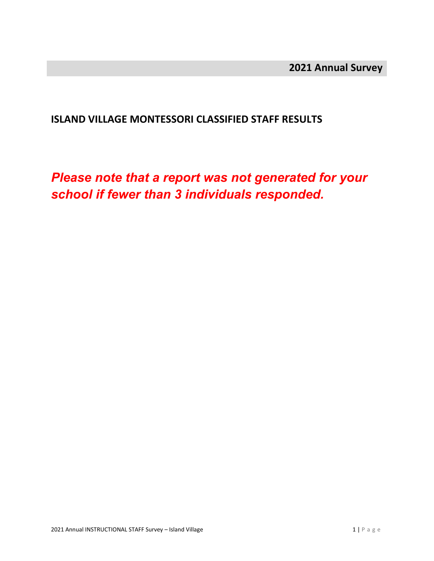#### **ISLAND VILLAGE MONTESSORI CLASSIFIED STAFF RESULTS**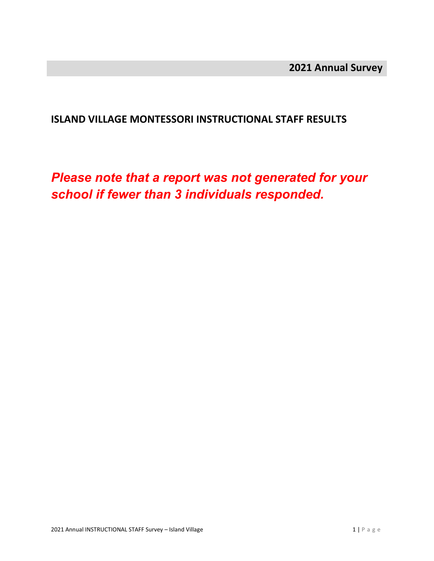#### **ISLAND VILLAGE MONTESSORI INSTRUCTIONAL STAFF RESULTS**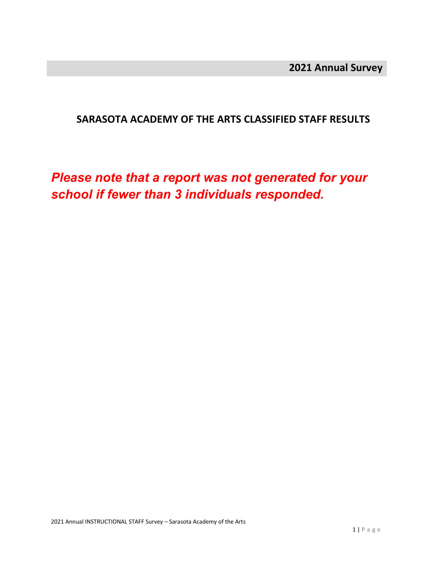#### **SARASOTA ACADEMY OF THE ARTS CLASSIFIED STAFF RESULTS**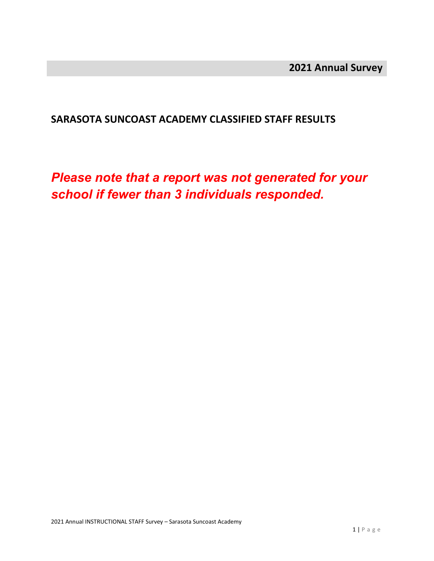#### **SARASOTA SUNCOAST ACADEMY CLASSIFIED STAFF RESULTS**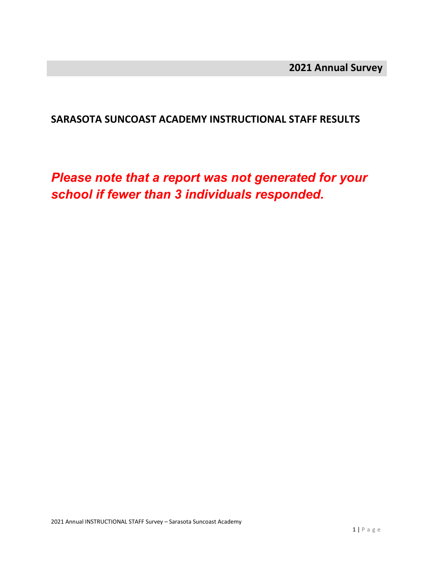#### **SARASOTA SUNCOAST ACADEMY INSTRUCTIONAL STAFF RESULTS**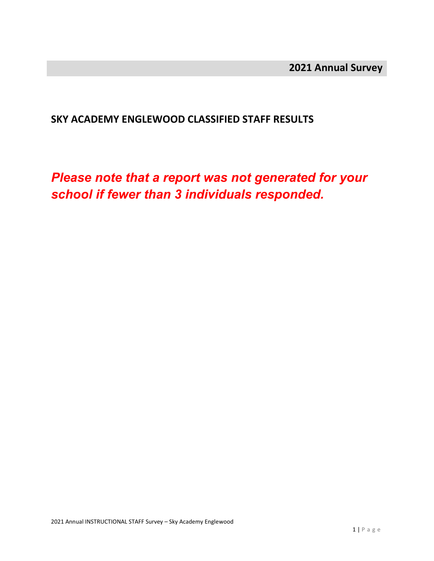#### **SKY ACADEMY ENGLEWOOD CLASSIFIED STAFF RESULTS**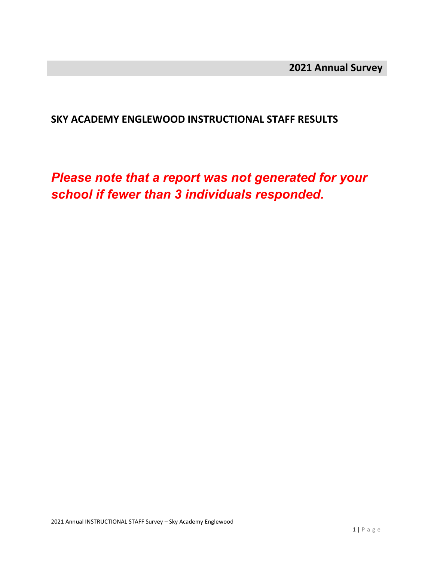#### **SKY ACADEMY ENGLEWOOD INSTRUCTIONAL STAFF RESULTS**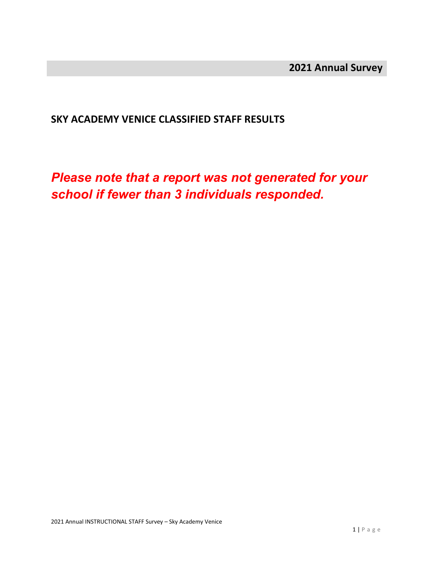#### **SKY ACADEMY VENICE CLASSIFIED STAFF RESULTS**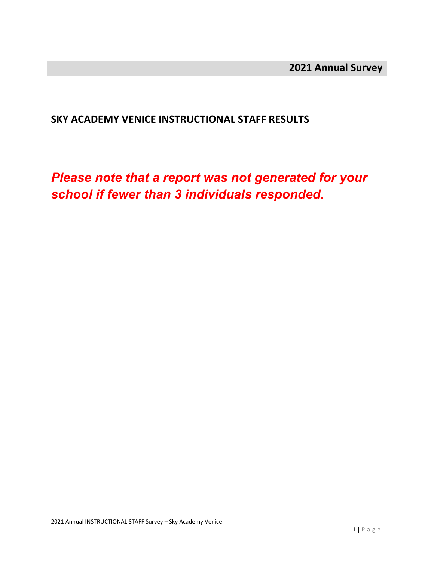#### **SKY ACADEMY VENICE INSTRUCTIONAL STAFF RESULTS**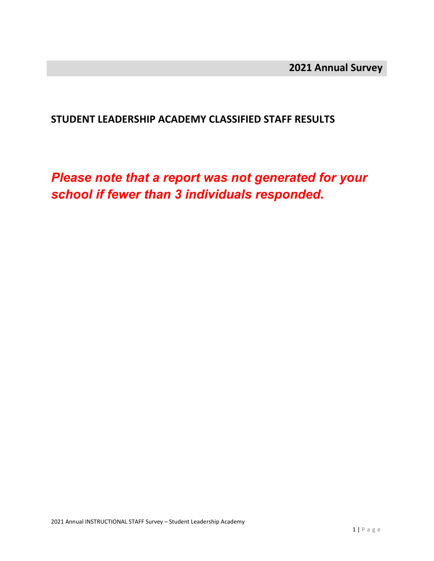#### **STUDENT LEADERSHIP ACADEMY CLASSIFIED STAFF RESULTS**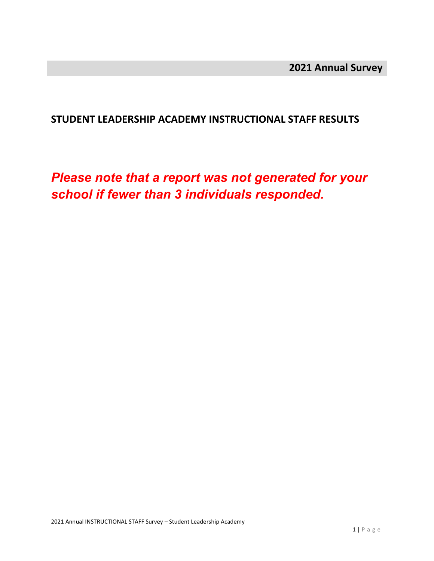#### **STUDENT LEADERSHIP ACADEMY INSTRUCTIONAL STAFF RESULTS**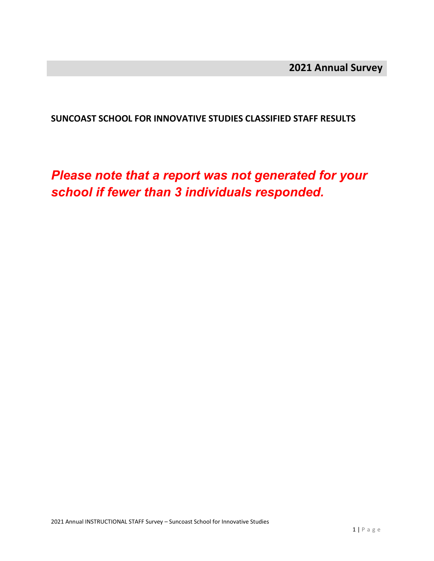**SUNCOAST SCHOOL FOR INNOVATIVE STUDIES CLASSIFIED STAFF RESULTS**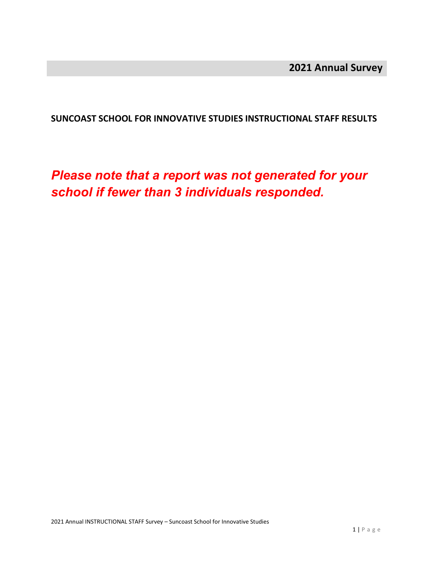**SUNCOAST SCHOOL FOR INNOVATIVE STUDIES INSTRUCTIONAL STAFF RESULTS**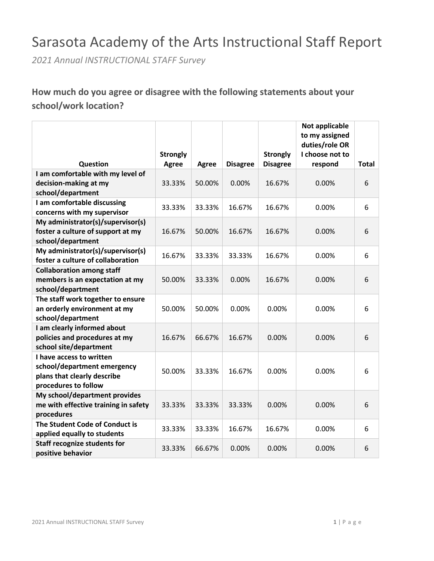# Sarasota Academy of the Arts Instructional Staff Report

*2021 Annual INSTRUCTIONAL STAFF Survey*

# **How much do you agree or disagree with the following statements about your school/work location?**

|                                                               |                 |        |                 |                 | Not applicable<br>to my assigned |              |
|---------------------------------------------------------------|-----------------|--------|-----------------|-----------------|----------------------------------|--------------|
|                                                               |                 |        |                 |                 | duties/role OR                   |              |
|                                                               | <b>Strongly</b> |        |                 | <b>Strongly</b> | I choose not to                  |              |
| Question                                                      | Agree           | Agree  | <b>Disagree</b> | <b>Disagree</b> | respond                          | <b>Total</b> |
| I am comfortable with my level of                             |                 |        |                 |                 |                                  |              |
| decision-making at my<br>school/department                    | 33.33%          | 50.00% | 0.00%           | 16.67%          | 0.00%                            | 6            |
| I am comfortable discussing                                   |                 |        |                 |                 |                                  |              |
| concerns with my supervisor                                   | 33.33%          | 33.33% | 16.67%          | 16.67%          | 0.00%                            | 6            |
| My administrator(s)/supervisor(s)                             |                 |        |                 |                 |                                  |              |
| foster a culture of support at my                             | 16.67%          | 50.00% | 16.67%          | 16.67%          | $0.00\%$                         | 6            |
| school/department                                             |                 |        |                 |                 |                                  |              |
| My administrator(s)/supervisor(s)                             |                 |        |                 |                 |                                  |              |
| foster a culture of collaboration                             | 16.67%          | 33.33% | 33.33%          | 16.67%          | 0.00%                            | 6            |
| <b>Collaboration among staff</b>                              |                 |        |                 |                 |                                  |              |
| members is an expectation at my                               | 50.00%          | 33.33% | 0.00%           | 16.67%          | $0.00\%$                         | 6            |
| school/department                                             |                 |        |                 |                 |                                  |              |
| The staff work together to ensure                             |                 |        |                 |                 |                                  |              |
| an orderly environment at my                                  | 50.00%          | 50.00% | 0.00%           | 0.00%           | 0.00%                            | 6            |
| school/department                                             |                 |        |                 |                 |                                  |              |
| I am clearly informed about                                   |                 |        |                 |                 |                                  |              |
| policies and procedures at my                                 | 16.67%          | 66.67% | 16.67%          | 0.00%           | 0.00%                            | 6            |
| school site/department                                        |                 |        |                 |                 |                                  |              |
| I have access to written                                      |                 |        |                 |                 |                                  |              |
| school/department emergency<br>plans that clearly describe    | 50.00%          | 33.33% | 16.67%          | 0.00%           | 0.00%                            | 6            |
| procedures to follow                                          |                 |        |                 |                 |                                  |              |
| My school/department provides                                 |                 |        |                 |                 |                                  |              |
| me with effective training in safety                          | 33.33%          | 33.33% | 33.33%          | 0.00%           | 0.00%                            | 6            |
| procedures                                                    |                 |        |                 |                 |                                  |              |
| The Student Code of Conduct is<br>applied equally to students | 33.33%          | 33.33% | 16.67%          | 16.67%          | 0.00%                            | 6            |
| <b>Staff recognize students for</b><br>positive behavior      | 33.33%          | 66.67% | 0.00%           | 0.00%           | 0.00%                            | 6            |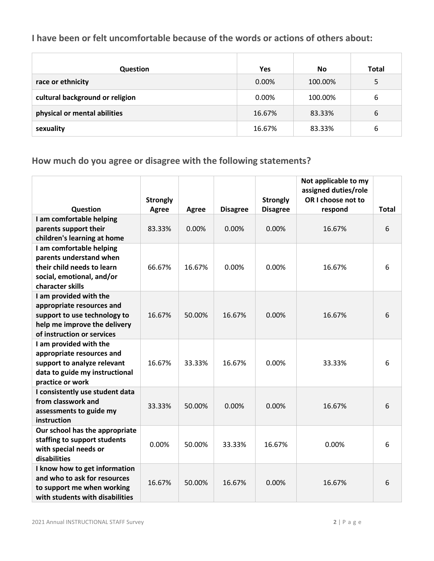#### **I have been or felt uncomfortable because of the words or actions of others about:**

| Question                        | Yes    | <b>No</b> | <b>Total</b> |
|---------------------------------|--------|-----------|--------------|
| race or ethnicity               | 0.00%  | 100.00%   | 5            |
| cultural background or religion | 0.00%  | 100.00%   | 6            |
| physical or mental abilities    | 16.67% | 83.33%    | 6            |
| sexuality                       | 16.67% | 83.33%    | 6            |

# **How much do you agree or disagree with the following statements?**

|                                                                                                                                                   | <b>Strongly</b> |        |                 | <b>Strongly</b> | Not applicable to my<br>assigned duties/role<br>OR I choose not to |              |
|---------------------------------------------------------------------------------------------------------------------------------------------------|-----------------|--------|-----------------|-----------------|--------------------------------------------------------------------|--------------|
| Question                                                                                                                                          | <b>Agree</b>    | Agree  | <b>Disagree</b> | <b>Disagree</b> | respond                                                            | <b>Total</b> |
| I am comfortable helping<br>parents support their<br>children's learning at home                                                                  | 83.33%          | 0.00%  | 0.00%           | 0.00%           | 16.67%                                                             | 6            |
| I am comfortable helping<br>parents understand when<br>their child needs to learn<br>social, emotional, and/or<br>character skills                | 66.67%          | 16.67% | 0.00%           | 0.00%           | 16.67%                                                             | 6            |
| I am provided with the<br>appropriate resources and<br>support to use technology to<br>help me improve the delivery<br>of instruction or services | 16.67%          | 50.00% | 16.67%          | 0.00%           | 16.67%                                                             | 6            |
| I am provided with the<br>appropriate resources and<br>support to analyze relevant<br>data to guide my instructional<br>practice or work          | 16.67%          | 33.33% | 16.67%          | 0.00%           | 33.33%                                                             | 6            |
| I consistently use student data<br>from classwork and<br>assessments to guide my<br>instruction                                                   | 33.33%          | 50.00% | 0.00%           | 0.00%           | 16.67%                                                             | 6            |
| Our school has the appropriate<br>staffing to support students<br>with special needs or<br>disabilities                                           | 0.00%           | 50.00% | 33.33%          | 16.67%          | 0.00%                                                              | 6            |
| I know how to get information<br>and who to ask for resources<br>to support me when working<br>with students with disabilities                    | 16.67%          | 50.00% | 16.67%          | 0.00%           | 16.67%                                                             | 6            |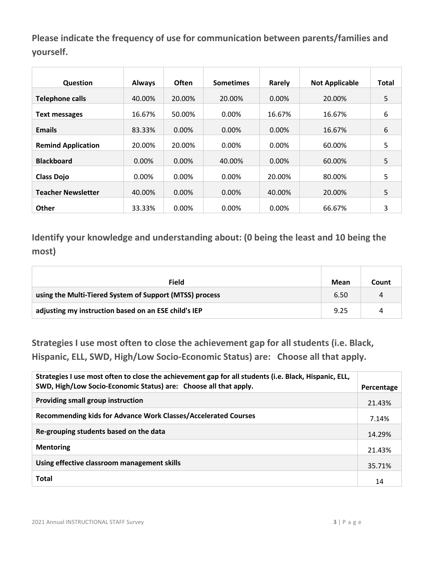**Please indicate the frequency of use for communication between parents/families and yourself.**

| <b>Question</b>           | <b>Always</b> | <b>Often</b> | <b>Sometimes</b> | Rarely   | <b>Not Applicable</b> | <b>Total</b> |
|---------------------------|---------------|--------------|------------------|----------|-----------------------|--------------|
| <b>Telephone calls</b>    | 40.00%        | 20.00%       | 20.00%           | $0.00\%$ | 20.00%                | 5            |
| <b>Text messages</b>      | 16.67%        | 50.00%       | 0.00%            | 16.67%   | 16.67%                | 6            |
| <b>Emails</b>             | 83.33%        | 0.00%        | $0.00\%$         | 0.00%    | 16.67%                | 6            |
| <b>Remind Application</b> | 20.00%        | 20.00%       | 0.00%            | $0.00\%$ | 60.00%                | 5            |
| <b>Blackboard</b>         | 0.00%         | 0.00%        | 40.00%           | 0.00%    | 60.00%                | 5            |
| <b>Class Dojo</b>         | 0.00%         | 0.00%        | $0.00\%$         | 20.00%   | 80.00%                | 5            |
| <b>Teacher Newsletter</b> | 40.00%        | 0.00%        | $0.00\%$         | 40.00%   | 20.00%                | 5            |
| <b>Other</b>              | 33.33%        | 0.00%        | 0.00%            | 0.00%    | 66.67%                | 3            |

**Identify your knowledge and understanding about: (0 being the least and 10 being the most)**

| <b>Field</b>                                            | Mean | Count |
|---------------------------------------------------------|------|-------|
| using the Multi-Tiered System of Support (MTSS) process | 6.50 | 4     |
| adjusting my instruction based on an ESE child's IEP    | 9.25 | 4     |

**Strategies I use most often to close the achievement gap for all students (i.e. Black, Hispanic, ELL, SWD, High/Low Socio-Economic Status) are: Choose all that apply.**

| Strategies I use most often to close the achievement gap for all students (i.e. Black, Hispanic, ELL,<br>SWD, High/Low Socio-Economic Status) are: Choose all that apply. | Percentage |
|---------------------------------------------------------------------------------------------------------------------------------------------------------------------------|------------|
| Providing small group instruction                                                                                                                                         | 21.43%     |
| Recommending kids for Advance Work Classes/Accelerated Courses                                                                                                            | 7.14%      |
| Re-grouping students based on the data                                                                                                                                    | 14.29%     |
| <b>Mentoring</b>                                                                                                                                                          | 21.43%     |
| Using effective classroom management skills                                                                                                                               | 35.71%     |
| <b>Total</b>                                                                                                                                                              | 14         |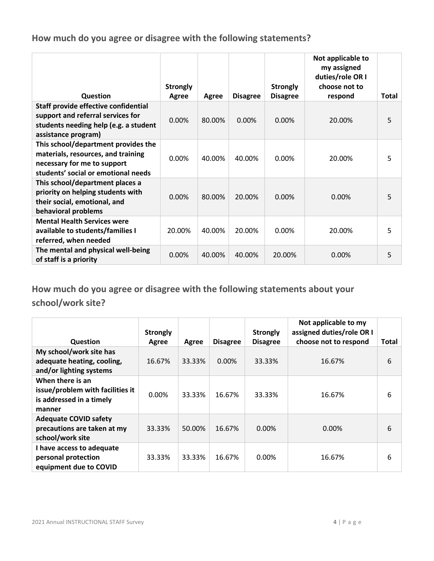**How much do you agree or disagree with the following statements?**

| Question                                                                                                                                        | <b>Strongly</b><br>Agree | Agree  | <b>Disagree</b> | <b>Strongly</b><br><b>Disagree</b> | Not applicable to<br>my assigned<br>duties/role OR I<br>choose not to<br>respond | <b>Total</b> |
|-------------------------------------------------------------------------------------------------------------------------------------------------|--------------------------|--------|-----------------|------------------------------------|----------------------------------------------------------------------------------|--------------|
| Staff provide effective confidential                                                                                                            |                          |        |                 |                                    |                                                                                  |              |
| support and referral services for<br>students needing help (e.g. a student<br>assistance program)                                               | $0.00\%$                 | 80.00% | $0.00\%$        | $0.00\%$                           | 20.00%                                                                           | 5            |
| This school/department provides the<br>materials, resources, and training<br>necessary for me to support<br>students' social or emotional needs | 0.00%                    | 40.00% | 40.00%          | 0.00%                              | 20.00%                                                                           | 5            |
| This school/department places a<br>priority on helping students with<br>their social, emotional, and<br>behavioral problems                     | 0.00%                    | 80.00% | 20.00%          | 0.00%                              | 0.00%                                                                            | 5            |
| <b>Mental Health Services were</b><br>available to students/families I<br>referred, when needed                                                 | 20.00%                   | 40.00% | 20.00%          | 0.00%                              | 20.00%                                                                           | 5            |
| The mental and physical well-being<br>of staff is a priority                                                                                    | 0.00%                    | 40.00% | 40.00%          | 20.00%                             | $0.00\%$                                                                         | 5            |

**How much do you agree or disagree with the following statements about your school/work site?**

| <b>Question</b>                                                                            | <b>Strongly</b><br>Agree | Agree  | <b>Disagree</b> | <b>Strongly</b><br><b>Disagree</b> | Not applicable to my<br>assigned duties/role OR I<br>choose not to respond | Total |
|--------------------------------------------------------------------------------------------|--------------------------|--------|-----------------|------------------------------------|----------------------------------------------------------------------------|-------|
| My school/work site has<br>adequate heating, cooling,<br>and/or lighting systems           | 16.67%                   | 33.33% | $0.00\%$        | 33.33%                             | 16.67%                                                                     | 6     |
| When there is an<br>issue/problem with facilities it<br>is addressed in a timely<br>manner | $0.00\%$                 | 33.33% | 16.67%          | 33.33%                             | 16.67%                                                                     | 6     |
| <b>Adequate COVID safety</b><br>precautions are taken at my<br>school/work site            | 33.33%                   | 50.00% | 16.67%          | $0.00\%$                           | $0.00\%$                                                                   | 6     |
| I have access to adequate<br>personal protection<br>equipment due to COVID                 | 33.33%                   | 33.33% | 16.67%          | 0.00%                              | 16.67%                                                                     | 6     |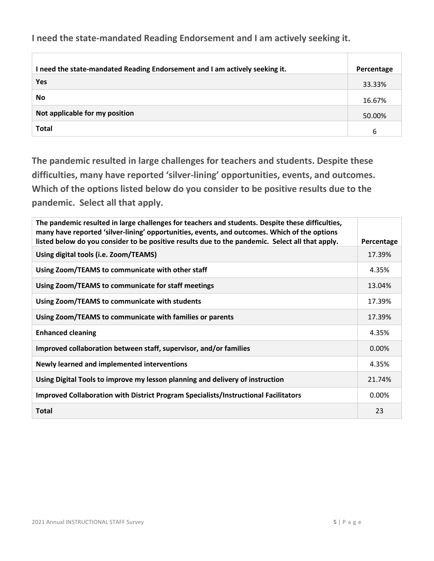**I need the state-mandated Reading Endorsement and I am actively seeking it.**

| I need the state-mandated Reading Endorsement and I am actively seeking it. | Percentage |
|-----------------------------------------------------------------------------|------------|
| Yes                                                                         | 33.33%     |
| <b>No</b>                                                                   | 16.67%     |
| Not applicable for my position                                              | 50.00%     |
| <b>Total</b>                                                                | 6          |

**The pandemic resulted in large challenges for teachers and students. Despite these difficulties, many have reported 'silver-lining' opportunities, events, and outcomes. Which of the options listed below do you consider to be positive results due to the pandemic. Select all that apply.**

| The pandemic resulted in large challenges for teachers and students. Despite these difficulties,<br>many have reported 'silver-lining' opportunities, events, and outcomes. Which of the options<br>listed below do you consider to be positive results due to the pandemic. Select all that apply. | Percentage |
|-----------------------------------------------------------------------------------------------------------------------------------------------------------------------------------------------------------------------------------------------------------------------------------------------------|------------|
| Using digital tools (i.e. Zoom/TEAMS)                                                                                                                                                                                                                                                               | 17.39%     |
| Using Zoom/TEAMS to communicate with other staff                                                                                                                                                                                                                                                    | 4.35%      |
| Using Zoom/TEAMS to communicate for staff meetings                                                                                                                                                                                                                                                  | 13.04%     |
| Using Zoom/TEAMS to communicate with students                                                                                                                                                                                                                                                       | 17.39%     |
| Using Zoom/TEAMS to communicate with families or parents                                                                                                                                                                                                                                            | 17.39%     |
| <b>Enhanced cleaning</b>                                                                                                                                                                                                                                                                            | 4.35%      |
| Improved collaboration between staff, supervisor, and/or families                                                                                                                                                                                                                                   | 0.00%      |
| Newly learned and implemented interventions                                                                                                                                                                                                                                                         | 4.35%      |
| Using Digital Tools to improve my lesson planning and delivery of instruction                                                                                                                                                                                                                       | 21.74%     |
| Improved Collaboration with District Program Specialists/Instructional Facilitators                                                                                                                                                                                                                 | $0.00\%$   |
| <b>Total</b>                                                                                                                                                                                                                                                                                        | 23         |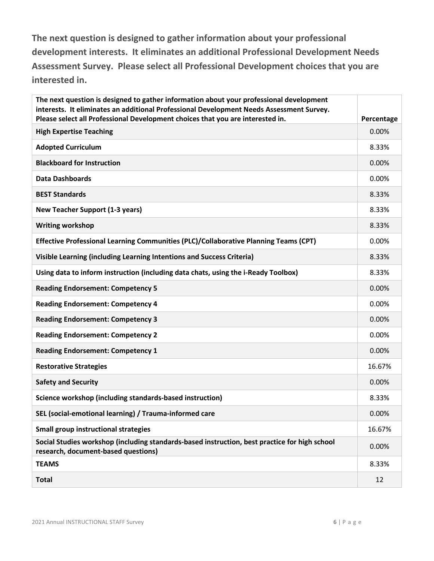**The next question is designed to gather information about your professional development interests. It eliminates an additional Professional Development Needs Assessment Survey. Please select all Professional Development choices that you are interested in.**

| The next question is designed to gather information about your professional development<br>interests. It eliminates an additional Professional Development Needs Assessment Survey.<br>Please select all Professional Development choices that you are interested in. | Percentage |
|-----------------------------------------------------------------------------------------------------------------------------------------------------------------------------------------------------------------------------------------------------------------------|------------|
| <b>High Expertise Teaching</b>                                                                                                                                                                                                                                        | 0.00%      |
| <b>Adopted Curriculum</b>                                                                                                                                                                                                                                             | 8.33%      |
| <b>Blackboard for Instruction</b>                                                                                                                                                                                                                                     | 0.00%      |
| <b>Data Dashboards</b>                                                                                                                                                                                                                                                | 0.00%      |
| <b>BEST Standards</b>                                                                                                                                                                                                                                                 | 8.33%      |
| <b>New Teacher Support (1-3 years)</b>                                                                                                                                                                                                                                | 8.33%      |
| <b>Writing workshop</b>                                                                                                                                                                                                                                               | 8.33%      |
| Effective Professional Learning Communities (PLC)/Collaborative Planning Teams (CPT)                                                                                                                                                                                  | 0.00%      |
| Visible Learning (including Learning Intentions and Success Criteria)                                                                                                                                                                                                 | 8.33%      |
| Using data to inform instruction (including data chats, using the i-Ready Toolbox)                                                                                                                                                                                    | 8.33%      |
| <b>Reading Endorsement: Competency 5</b>                                                                                                                                                                                                                              | 0.00%      |
| <b>Reading Endorsement: Competency 4</b>                                                                                                                                                                                                                              | 0.00%      |
| <b>Reading Endorsement: Competency 3</b>                                                                                                                                                                                                                              | 0.00%      |
| <b>Reading Endorsement: Competency 2</b>                                                                                                                                                                                                                              | 0.00%      |
| <b>Reading Endorsement: Competency 1</b>                                                                                                                                                                                                                              | 0.00%      |
| <b>Restorative Strategies</b>                                                                                                                                                                                                                                         | 16.67%     |
| <b>Safety and Security</b>                                                                                                                                                                                                                                            | 0.00%      |
| Science workshop (including standards-based instruction)                                                                                                                                                                                                              | 8.33%      |
| SEL (social-emotional learning) / Trauma-informed care                                                                                                                                                                                                                | 0.00%      |
| <b>Small group instructional strategies</b>                                                                                                                                                                                                                           | 16.67%     |
| Social Studies workshop (including standards-based instruction, best practice for high school<br>research, document-based questions)                                                                                                                                  | 0.00%      |
| <b>TEAMS</b>                                                                                                                                                                                                                                                          | 8.33%      |
| <b>Total</b>                                                                                                                                                                                                                                                          | 12         |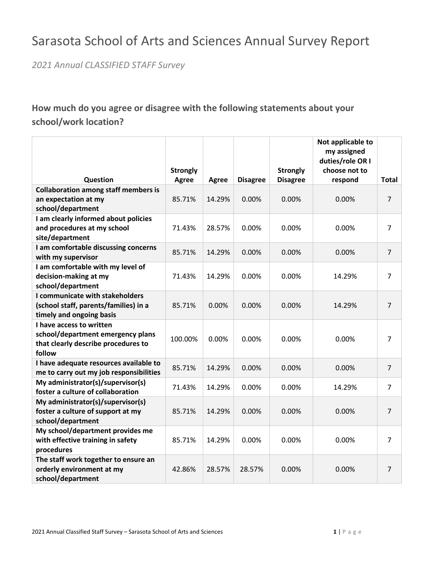# Sarasota School of Arts and Sciences Annual Survey Report

*2021 Annual CLASSIFIED STAFF Survey*

# **How much do you agree or disagree with the following statements about your school/work location?**

|                                               |                 |              |                 |                 | Not applicable to<br>my assigned |                |
|-----------------------------------------------|-----------------|--------------|-----------------|-----------------|----------------------------------|----------------|
|                                               |                 |              |                 |                 | duties/role OR I                 |                |
|                                               | <b>Strongly</b> |              |                 | <b>Strongly</b> | choose not to                    |                |
| Question                                      | <b>Agree</b>    | <b>Agree</b> | <b>Disagree</b> | <b>Disagree</b> | respond                          | Total          |
| <b>Collaboration among staff members is</b>   |                 |              |                 |                 |                                  |                |
| an expectation at my                          | 85.71%          | 14.29%       | 0.00%           | 0.00%           | 0.00%                            | $\overline{7}$ |
| school/department                             |                 |              |                 |                 |                                  |                |
| I am clearly informed about policies          |                 |              |                 |                 |                                  |                |
| and procedures at my school                   | 71.43%          | 28.57%       | 0.00%           | 0.00%           | 0.00%                            | $\overline{7}$ |
| site/department                               |                 |              |                 |                 |                                  |                |
| I am comfortable discussing concerns          | 85.71%          | 14.29%       | 0.00%           | 0.00%           | 0.00%                            | $\overline{7}$ |
| with my supervisor                            |                 |              |                 |                 |                                  |                |
| I am comfortable with my level of             |                 |              |                 |                 |                                  |                |
| decision-making at my                         | 71.43%          | 14.29%       | 0.00%           | 0.00%           | 14.29%                           | 7              |
| school/department                             |                 |              |                 |                 |                                  |                |
| I communicate with stakeholders               |                 |              |                 |                 |                                  |                |
| (school staff, parents/families) in a         | 85.71%          | 0.00%        | 0.00%           | 0.00%           | 14.29%                           | $\overline{7}$ |
| timely and ongoing basis                      |                 |              |                 |                 |                                  |                |
| I have access to written                      |                 |              |                 |                 |                                  |                |
| school/department emergency plans             | 100.00%         | 0.00%        | 0.00%           | 0.00%           | 0.00%                            | 7              |
| that clearly describe procedures to<br>follow |                 |              |                 |                 |                                  |                |
| I have adequate resources available to        | 85.71%          | 14.29%       | 0.00%           | 0.00%           | 0.00%                            | $\overline{7}$ |
| me to carry out my job responsibilities       |                 |              |                 |                 |                                  |                |
| My administrator(s)/supervisor(s)             | 71.43%          | 14.29%       | 0.00%           | 0.00%           | 14.29%                           | $\overline{7}$ |
| foster a culture of collaboration             |                 |              |                 |                 |                                  |                |
| My administrator(s)/supervisor(s)             |                 |              |                 |                 |                                  |                |
| foster a culture of support at my             | 85.71%          | 14.29%       | 0.00%           | 0.00%           | 0.00%                            | $\overline{7}$ |
| school/department                             |                 |              |                 |                 |                                  |                |
| My school/department provides me              |                 |              |                 |                 |                                  |                |
| with effective training in safety             | 85.71%          | 14.29%       | 0.00%           | 0.00%           | 0.00%                            | $\overline{7}$ |
| procedures                                    |                 |              |                 |                 |                                  |                |
| The staff work together to ensure an          |                 |              |                 |                 |                                  |                |
| orderly environment at my                     | 42.86%          | 28.57%       | 28.57%          | 0.00%           | 0.00%                            | $\overline{7}$ |
| school/department                             |                 |              |                 |                 |                                  |                |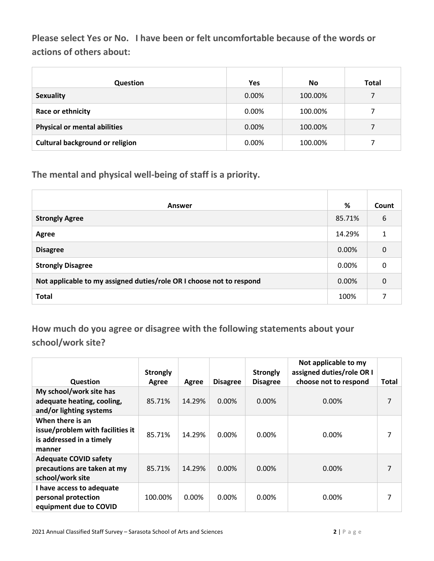**Please select Yes or No. I have been or felt uncomfortable because of the words or actions of others about:**

| <b>Question</b>                        | Yes   | <b>No</b> | Total |
|----------------------------------------|-------|-----------|-------|
| <b>Sexuality</b>                       | 0.00% | 100.00%   |       |
| Race or ethnicity                      | 0.00% | 100.00%   |       |
| <b>Physical or mental abilities</b>    | 0.00% | 100.00%   |       |
| <b>Cultural background or religion</b> | 0.00% | 100.00%   |       |

**The mental and physical well-being of staff is a priority.** 

| <b>Answer</b>                                                        | %      | Count |
|----------------------------------------------------------------------|--------|-------|
| <b>Strongly Agree</b>                                                | 85.71% | 6     |
| Agree                                                                | 14.29% | 1     |
| <b>Disagree</b>                                                      | 0.00%  | 0     |
| <b>Strongly Disagree</b>                                             | 0.00%  | 0     |
| Not applicable to my assigned duties/role OR I choose not to respond | 0.00%  | 0     |
| <b>Total</b>                                                         | 100%   | ⇁     |

**How much do you agree or disagree with the following statements about your school/work site?**

| <b>Question</b>                                                                            | <b>Strongly</b><br>Agree | Agree  | <b>Disagree</b> | <b>Strongly</b><br><b>Disagree</b> | Not applicable to my<br>assigned duties/role OR I<br>choose not to respond | Total |
|--------------------------------------------------------------------------------------------|--------------------------|--------|-----------------|------------------------------------|----------------------------------------------------------------------------|-------|
| My school/work site has<br>adequate heating, cooling,<br>and/or lighting systems           | 85.71%                   | 14.29% | $0.00\%$        | $0.00\%$                           | $0.00\%$                                                                   | 7     |
| When there is an<br>issue/problem with facilities it<br>is addressed in a timely<br>manner | 85.71%                   | 14.29% | 0.00%           | $0.00\%$                           | $0.00\%$                                                                   | 7     |
| <b>Adequate COVID safety</b><br>precautions are taken at my<br>school/work site            | 85.71%                   | 14.29% | $0.00\%$        | $0.00\%$                           | 0.00%                                                                      | 7     |
| I have access to adequate<br>personal protection<br>equipment due to COVID                 | 100.00%                  | 0.00%  | $0.00\%$        | $0.00\%$                           | 0.00%                                                                      | 7     |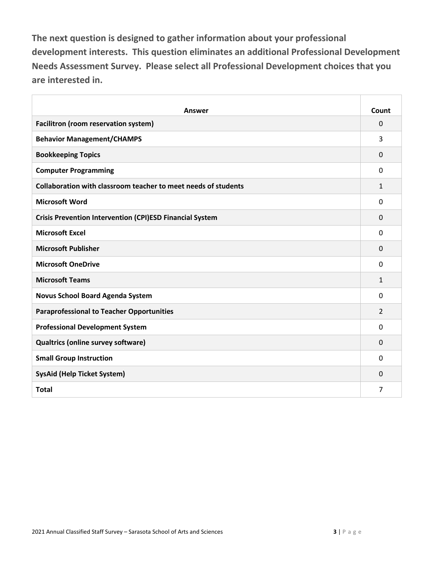**The next question is designed to gather information about your professional development interests. This question eliminates an additional Professional Development Needs Assessment Survey. Please select all Professional Development choices that you are interested in.**

| Answer                                                          | Count          |
|-----------------------------------------------------------------|----------------|
| Facilitron (room reservation system)                            | $\mathbf 0$    |
| <b>Behavior Management/CHAMPS</b>                               | 3              |
| <b>Bookkeeping Topics</b>                                       | $\Omega$       |
| <b>Computer Programming</b>                                     | $\mathbf{0}$   |
| Collaboration with classroom teacher to meet needs of students  | $\mathbf{1}$   |
| <b>Microsoft Word</b>                                           | $\mathbf{0}$   |
| <b>Crisis Prevention Intervention (CPI)ESD Financial System</b> | $\Omega$       |
| <b>Microsoft Excel</b>                                          | 0              |
| <b>Microsoft Publisher</b>                                      | $\Omega$       |
| <b>Microsoft OneDrive</b>                                       | $\mathbf 0$    |
| <b>Microsoft Teams</b>                                          | 1              |
| <b>Novus School Board Agenda System</b>                         | $\mathbf{0}$   |
| <b>Paraprofessional to Teacher Opportunities</b>                | $\overline{2}$ |
| <b>Professional Development System</b>                          | $\Omega$       |
| Qualtrics (online survey software)                              | $\Omega$       |
| <b>Small Group Instruction</b>                                  | $\Omega$       |
| <b>SysAid (Help Ticket System)</b>                              | $\Omega$       |
| <b>Total</b>                                                    | 7              |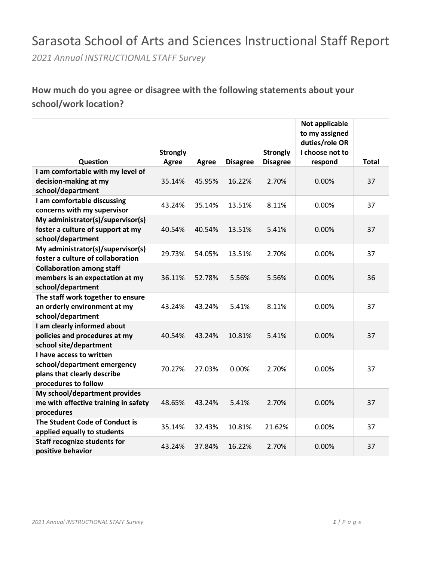# Sarasota School of Arts and Sciences Instructional Staff Report

*2021 Annual INSTRUCTIONAL STAFF Survey*

### **How much do you agree or disagree with the following statements about your school/work location?**

|                                               |                 |              |                 |                 | Not applicable<br>to my assigned |              |
|-----------------------------------------------|-----------------|--------------|-----------------|-----------------|----------------------------------|--------------|
|                                               |                 |              |                 |                 | duties/role OR                   |              |
|                                               | <b>Strongly</b> |              |                 | <b>Strongly</b> | I choose not to                  |              |
| Question<br>I am comfortable with my level of | <b>Agree</b>    | <b>Agree</b> | <b>Disagree</b> | <b>Disagree</b> | respond                          | <b>Total</b> |
| decision-making at my                         | 35.14%          | 45.95%       | 16.22%          | 2.70%           | 0.00%                            | 37           |
| school/department                             |                 |              |                 |                 |                                  |              |
| I am comfortable discussing                   |                 |              |                 |                 |                                  |              |
| concerns with my supervisor                   | 43.24%          | 35.14%       | 13.51%          | 8.11%           | 0.00%                            | 37           |
| My administrator(s)/supervisor(s)             |                 |              |                 |                 |                                  |              |
| foster a culture of support at my             | 40.54%          | 40.54%       | 13.51%          | 5.41%           | 0.00%                            | 37           |
| school/department                             |                 |              |                 |                 |                                  |              |
| My administrator(s)/supervisor(s)             |                 |              |                 |                 |                                  |              |
| foster a culture of collaboration             | 29.73%          | 54.05%       | 13.51%          | 2.70%           | 0.00%                            | 37           |
| <b>Collaboration among staff</b>              |                 |              |                 |                 |                                  |              |
| members is an expectation at my               | 36.11%          | 52.78%       | 5.56%           | 5.56%           | 0.00%                            | 36           |
| school/department                             |                 |              |                 |                 |                                  |              |
| The staff work together to ensure             |                 |              |                 |                 |                                  |              |
| an orderly environment at my                  | 43.24%          | 43.24%       | 5.41%           | 8.11%           | 0.00%                            | 37           |
| school/department                             |                 |              |                 |                 |                                  |              |
| I am clearly informed about                   |                 |              |                 |                 |                                  |              |
| policies and procedures at my                 | 40.54%          | 43.24%       | 10.81%          | 5.41%           | 0.00%                            | 37           |
| school site/department                        |                 |              |                 |                 |                                  |              |
| I have access to written                      |                 |              |                 |                 |                                  |              |
| school/department emergency                   | 70.27%          | 27.03%       | 0.00%           | 2.70%           | 0.00%                            | 37           |
| plans that clearly describe                   |                 |              |                 |                 |                                  |              |
| procedures to follow                          |                 |              |                 |                 |                                  |              |
| My school/department provides                 |                 |              |                 |                 |                                  |              |
| me with effective training in safety          | 48.65%          | 43.24%       | 5.41%           | 2.70%           | 0.00%                            | 37           |
| procedures                                    |                 |              |                 |                 |                                  |              |
| The Student Code of Conduct is                | 35.14%          | 32.43%       | 10.81%          | 21.62%          | 0.00%                            | 37           |
| applied equally to students                   |                 |              |                 |                 |                                  |              |
| <b>Staff recognize students for</b>           | 43.24%          | 37.84%       | 16.22%          | 2.70%           | 0.00%                            | 37           |
| positive behavior                             |                 |              |                 |                 |                                  |              |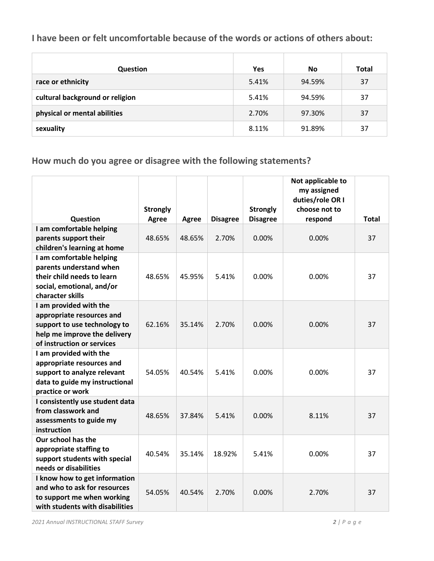#### **I have been or felt uncomfortable because of the words or actions of others about:**

| <b>Question</b>                 | <b>Yes</b> | <b>No</b> | Total |
|---------------------------------|------------|-----------|-------|
| race or ethnicity               | 5.41%      | 94.59%    | 37    |
| cultural background or religion | 5.41%      | 94.59%    | 37    |
| physical or mental abilities    | 2.70%      | 97.30%    | 37    |
| sexuality                       | 8.11%      | 91.89%    | 37    |

**How much do you agree or disagree with the following statements?**

|                                                                                                                                                   |                 |              |                 |                 | Not applicable to<br>my assigned |              |
|---------------------------------------------------------------------------------------------------------------------------------------------------|-----------------|--------------|-----------------|-----------------|----------------------------------|--------------|
|                                                                                                                                                   |                 |              |                 |                 | duties/role OR I                 |              |
|                                                                                                                                                   | <b>Strongly</b> |              |                 | <b>Strongly</b> | choose not to                    |              |
| Question                                                                                                                                          | <b>Agree</b>    | <b>Agree</b> | <b>Disagree</b> | <b>Disagree</b> | respond                          | <b>Total</b> |
| I am comfortable helping<br>parents support their<br>children's learning at home                                                                  | 48.65%          | 48.65%       | 2.70%           | 0.00%           | 0.00%                            | 37           |
| I am comfortable helping<br>parents understand when<br>their child needs to learn<br>social, emotional, and/or<br>character skills                | 48.65%          | 45.95%       | 5.41%           | 0.00%           | 0.00%                            | 37           |
| I am provided with the<br>appropriate resources and<br>support to use technology to<br>help me improve the delivery<br>of instruction or services | 62.16%          | 35.14%       | 2.70%           | 0.00%           | 0.00%                            | 37           |
| I am provided with the<br>appropriate resources and<br>support to analyze relevant<br>data to guide my instructional<br>practice or work          | 54.05%          | 40.54%       | 5.41%           | 0.00%           | 0.00%                            | 37           |
| I consistently use student data<br>from classwork and<br>assessments to guide my<br>instruction                                                   | 48.65%          | 37.84%       | 5.41%           | 0.00%           | 8.11%                            | 37           |
| Our school has the<br>appropriate staffing to<br>support students with special<br>needs or disabilities                                           | 40.54%          | 35.14%       | 18.92%          | 5.41%           | 0.00%                            | 37           |
| I know how to get information<br>and who to ask for resources<br>to support me when working<br>with students with disabilities                    | 54.05%          | 40.54%       | 2.70%           | 0.00%           | 2.70%                            | 37           |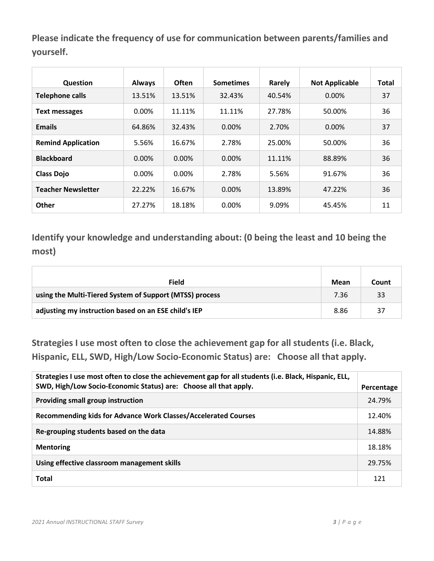**Please indicate the frequency of use for communication between parents/families and yourself.**

| <b>Question</b>           | <b>Always</b> | <b>Often</b> | <b>Sometimes</b> | Rarely | <b>Not Applicable</b> | Total |
|---------------------------|---------------|--------------|------------------|--------|-----------------------|-------|
| <b>Telephone calls</b>    | 13.51%        | 13.51%       | 32.43%           | 40.54% | 0.00%                 | 37    |
| <b>Text messages</b>      | $0.00\%$      | 11.11%       | 11.11%           | 27.78% | 50.00%                | 36    |
| <b>Emails</b>             | 64.86%        | 32.43%       | 0.00%            | 2.70%  | $0.00\%$              | 37    |
| <b>Remind Application</b> | 5.56%         | 16.67%       | 2.78%            | 25.00% | 50.00%                | 36    |
| <b>Blackboard</b>         | $0.00\%$      | $0.00\%$     | 0.00%            | 11.11% | 88.89%                | 36    |
| <b>Class Dojo</b>         | $0.00\%$      | $0.00\%$     | 2.78%            | 5.56%  | 91.67%                | 36    |
| <b>Teacher Newsletter</b> | 22.22%        | 16.67%       | 0.00%            | 13.89% | 47.22%                | 36    |
| <b>Other</b>              | 27.27%        | 18.18%       | 0.00%            | 9.09%  | 45.45%                | 11    |

**Identify your knowledge and understanding about: (0 being the least and 10 being the most)**

| <b>Field</b>                                            | Mean | Count |
|---------------------------------------------------------|------|-------|
| using the Multi-Tiered System of Support (MTSS) process | 7.36 | 33    |
| adjusting my instruction based on an ESE child's IEP    | 8.86 | 37    |

**Strategies I use most often to close the achievement gap for all students (i.e. Black, Hispanic, ELL, SWD, High/Low Socio-Economic Status) are: Choose all that apply.**

| Strategies I use most often to close the achievement gap for all students (i.e. Black, Hispanic, ELL,<br>SWD, High/Low Socio-Economic Status) are: Choose all that apply. | Percentage |
|---------------------------------------------------------------------------------------------------------------------------------------------------------------------------|------------|
| Providing small group instruction                                                                                                                                         | 24.79%     |
| Recommending kids for Advance Work Classes/Accelerated Courses                                                                                                            | 12.40%     |
| Re-grouping students based on the data                                                                                                                                    | 14.88%     |
| <b>Mentoring</b>                                                                                                                                                          | 18.18%     |
| Using effective classroom management skills                                                                                                                               | 29.75%     |
| <b>Total</b>                                                                                                                                                              | 121        |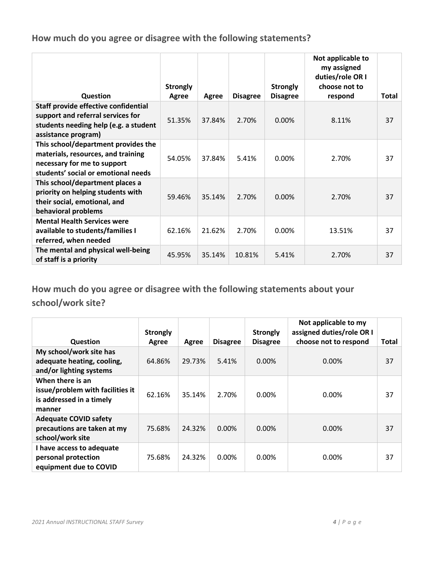**How much do you agree or disagree with the following statements?**

|                                                                                                                                                 | <b>Strongly</b> |        |                 | <b>Strongly</b> | Not applicable to<br>my assigned<br>duties/role OR I<br>choose not to |              |
|-------------------------------------------------------------------------------------------------------------------------------------------------|-----------------|--------|-----------------|-----------------|-----------------------------------------------------------------------|--------------|
| <b>Question</b>                                                                                                                                 | Agree           | Agree  | <b>Disagree</b> | <b>Disagree</b> | respond                                                               | <b>Total</b> |
| Staff provide effective confidential<br>support and referral services for<br>students needing help (e.g. a student<br>assistance program)       | 51.35%          | 37.84% | 2.70%           | $0.00\%$        | 8.11%                                                                 | 37           |
| This school/department provides the<br>materials, resources, and training<br>necessary for me to support<br>students' social or emotional needs | 54.05%          | 37.84% | 5.41%           | 0.00%           | 2.70%                                                                 | 37           |
| This school/department places a<br>priority on helping students with<br>their social, emotional, and<br>behavioral problems                     | 59.46%          | 35.14% | 2.70%           | 0.00%           | 2.70%                                                                 | 37           |
| <b>Mental Health Services were</b><br>available to students/families I<br>referred, when needed                                                 | 62.16%          | 21.62% | 2.70%           | 0.00%           | 13.51%                                                                | 37           |
| The mental and physical well-being<br>of staff is a priority                                                                                    | 45.95%          | 35.14% | 10.81%          | 5.41%           | 2.70%                                                                 | 37           |

**How much do you agree or disagree with the following statements about your school/work site?**

| <b>Question</b>                                                                            | <b>Strongly</b><br>Agree | Agree  | <b>Disagree</b> | <b>Strongly</b><br><b>Disagree</b> | Not applicable to my<br>assigned duties/role OR I<br>choose not to respond | Total |
|--------------------------------------------------------------------------------------------|--------------------------|--------|-----------------|------------------------------------|----------------------------------------------------------------------------|-------|
| My school/work site has<br>adequate heating, cooling,<br>and/or lighting systems           | 64.86%                   | 29.73% | 5.41%           | $0.00\%$                           | 0.00%                                                                      | 37    |
| When there is an<br>issue/problem with facilities it<br>is addressed in a timely<br>manner | 62.16%                   | 35.14% | 2.70%           | $0.00\%$                           | 0.00%                                                                      | 37    |
| <b>Adequate COVID safety</b><br>precautions are taken at my<br>school/work site            | 75.68%                   | 24.32% | $0.00\%$        | $0.00\%$                           | $0.00\%$                                                                   | 37    |
| I have access to adequate<br>personal protection<br>equipment due to COVID                 | 75.68%                   | 24.32% | $0.00\%$        | 0.00%                              | 0.00%                                                                      | 37    |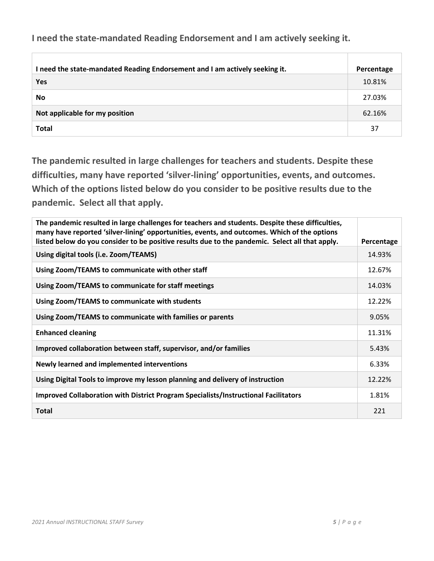**I need the state-mandated Reading Endorsement and I am actively seeking it.**

| I need the state-mandated Reading Endorsement and I am actively seeking it. | Percentage |
|-----------------------------------------------------------------------------|------------|
| Yes                                                                         | 10.81%     |
| No                                                                          | 27.03%     |
| Not applicable for my position                                              | 62.16%     |
| <b>Total</b>                                                                | 37         |

**The pandemic resulted in large challenges for teachers and students. Despite these difficulties, many have reported 'silver-lining' opportunities, events, and outcomes. Which of the options listed below do you consider to be positive results due to the pandemic. Select all that apply.**

| The pandemic resulted in large challenges for teachers and students. Despite these difficulties,<br>many have reported 'silver-lining' opportunities, events, and outcomes. Which of the options<br>listed below do you consider to be positive results due to the pandemic. Select all that apply. | Percentage |
|-----------------------------------------------------------------------------------------------------------------------------------------------------------------------------------------------------------------------------------------------------------------------------------------------------|------------|
| Using digital tools (i.e. Zoom/TEAMS)                                                                                                                                                                                                                                                               | 14.93%     |
| Using Zoom/TEAMS to communicate with other staff                                                                                                                                                                                                                                                    | 12.67%     |
| Using Zoom/TEAMS to communicate for staff meetings                                                                                                                                                                                                                                                  | 14.03%     |
| Using Zoom/TEAMS to communicate with students                                                                                                                                                                                                                                                       | 12.22%     |
| Using Zoom/TEAMS to communicate with families or parents                                                                                                                                                                                                                                            | 9.05%      |
| <b>Enhanced cleaning</b>                                                                                                                                                                                                                                                                            | 11.31%     |
| Improved collaboration between staff, supervisor, and/or families                                                                                                                                                                                                                                   | 5.43%      |
| Newly learned and implemented interventions                                                                                                                                                                                                                                                         | 6.33%      |
| Using Digital Tools to improve my lesson planning and delivery of instruction                                                                                                                                                                                                                       | 12.22%     |
| Improved Collaboration with District Program Specialists/Instructional Facilitators                                                                                                                                                                                                                 | 1.81%      |
| <b>Total</b>                                                                                                                                                                                                                                                                                        | 221        |